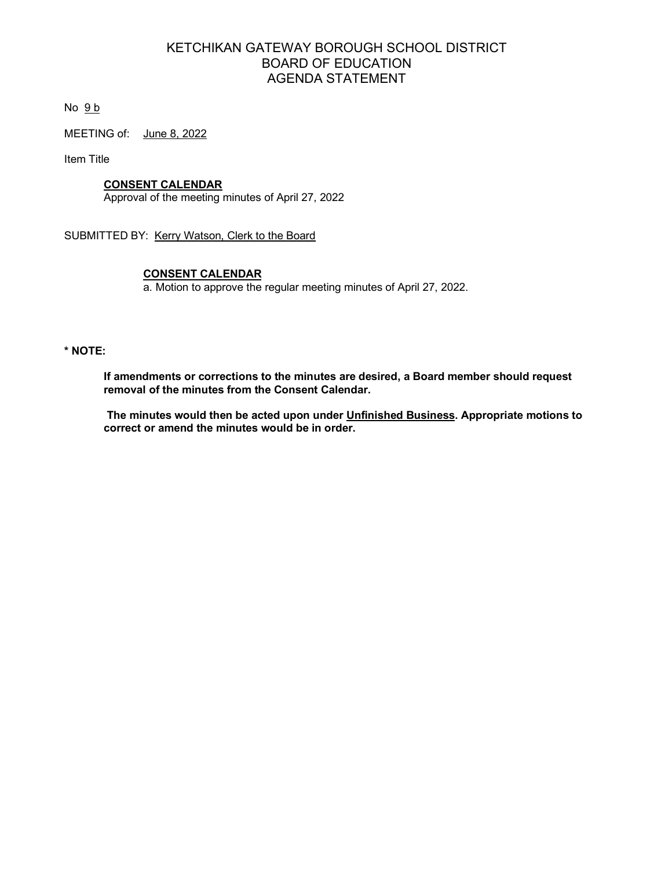# KETCHIKAN GATEWAY BOROUGH SCHOOL DISTRICT BOARD OF EDUCATION AGENDA STATEMENT

No  $9b$ 

MEETING of: June 8, 2022

Item Title

# **CONSENT CALENDAR**

Approval of the meeting minutes of April 27, 2022

SUBMITTED BY: Kerry Watson, Clerk to the Board

# **CONSENT CALENDAR**

a. Motion to approve the regular meeting minutes of April 27, 2022.

#### **\* NOTE:**

**If amendments or corrections to the minutes are desired, a Board member should request removal of the minutes from the Consent Calendar.**

**The minutes would then be acted upon under Unfinished Business. Appropriate motions to correct or amend the minutes would be in order.**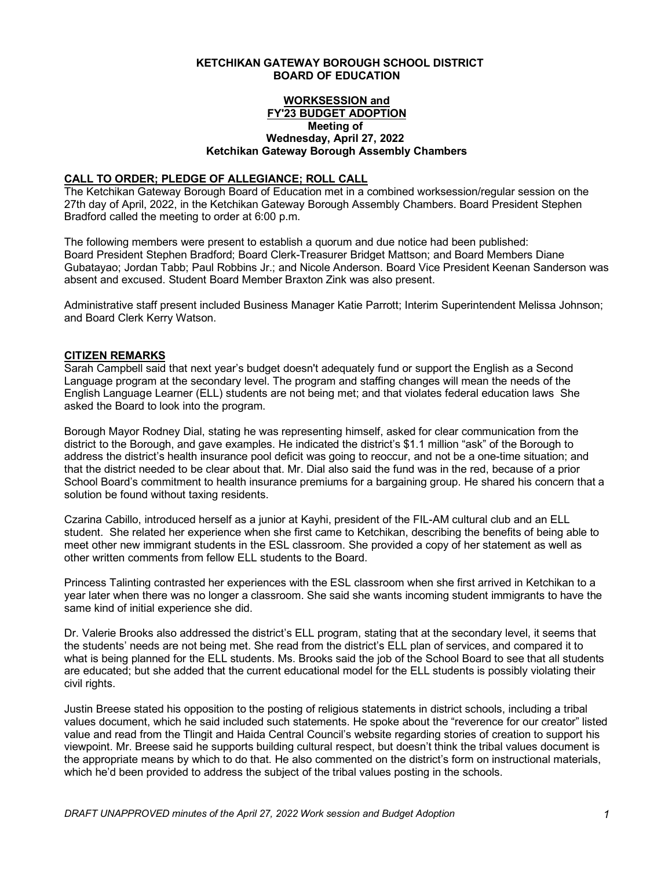#### **KETCHIKAN GATEWAY BOROUGH SCHOOL DISTRICT BOARD OF EDUCATION**

#### **WORKSESSION and FY'23 BUDGET ADOPTION Meeting of Wednesday, April 27, 2022 Ketchikan Gateway Borough Assembly Chambers**

#### **CALL TO ORDER; PLEDGE OF ALLEGIANCE; ROLL CALL**

The Ketchikan Gateway Borough Board of Education met in a combined worksession/regular session on the 27th day of April, 2022, in the Ketchikan Gateway Borough Assembly Chambers. Board President Stephen Bradford called the meeting to order at 6:00 p.m.

The following members were present to establish a quorum and due notice had been published: Board President Stephen Bradford; Board Clerk-Treasurer Bridget Mattson; and Board Members Diane Gubatayao; Jordan Tabb; Paul Robbins Jr.; and Nicole Anderson. Board Vice President Keenan Sanderson was absent and excused. Student Board Member Braxton Zink was also present.

Administrative staff present included Business Manager Katie Parrott; Interim Superintendent Melissa Johnson; and Board Clerk Kerry Watson.

## **CITIZEN REMARKS**

Sarah Campbell said that next year's budget doesn't adequately fund or support the English as a Second Language program at the secondary level. The program and staffing changes will mean the needs of the English Language Learner (ELL) students are not being met; and that violates federal education laws She asked the Board to look into the program.

Borough Mayor Rodney Dial, stating he was representing himself, asked for clear communication from the district to the Borough, and gave examples. He indicated the district's \$1.1 million "ask" of the Borough to address the district's health insurance pool deficit was going to reoccur, and not be a one-time situation; and that the district needed to be clear about that. Mr. Dial also said the fund was in the red, because of a prior School Board's commitment to health insurance premiums for a bargaining group. He shared his concern that a solution be found without taxing residents.

Czarina Cabillo, introduced herself as a junior at Kayhi, president of the FIL-AM cultural club and an ELL student. She related her experience when she first came to Ketchikan, describing the benefits of being able to meet other new immigrant students in the ESL classroom. She provided a copy of her statement as well as other written comments from fellow ELL students to the Board.

Princess Talinting contrasted her experiences with the ESL classroom when she first arrived in Ketchikan to a year later when there was no longer a classroom. She said she wants incoming student immigrants to have the same kind of initial experience she did.

Dr. Valerie Brooks also addressed the district's ELL program, stating that at the secondary level, it seems that the students' needs are not being met. She read from the district's ELL plan of services, and compared it to what is being planned for the ELL students. Ms. Brooks said the job of the School Board to see that all students are educated; but she added that the current educational model for the ELL students is possibly violating their civil rights.

Justin Breese stated his opposition to the posting of religious statements in district schools, including a tribal values document, which he said included such statements. He spoke about the "reverence for our creator" listed value and read from the Tlingit and Haida Central Council's website regarding stories of creation to support his viewpoint. Mr. Breese said he supports building cultural respect, but doesn't think the tribal values document is the appropriate means by which to do that. He also commented on the district's form on instructional materials, which he'd been provided to address the subject of the tribal values posting in the schools.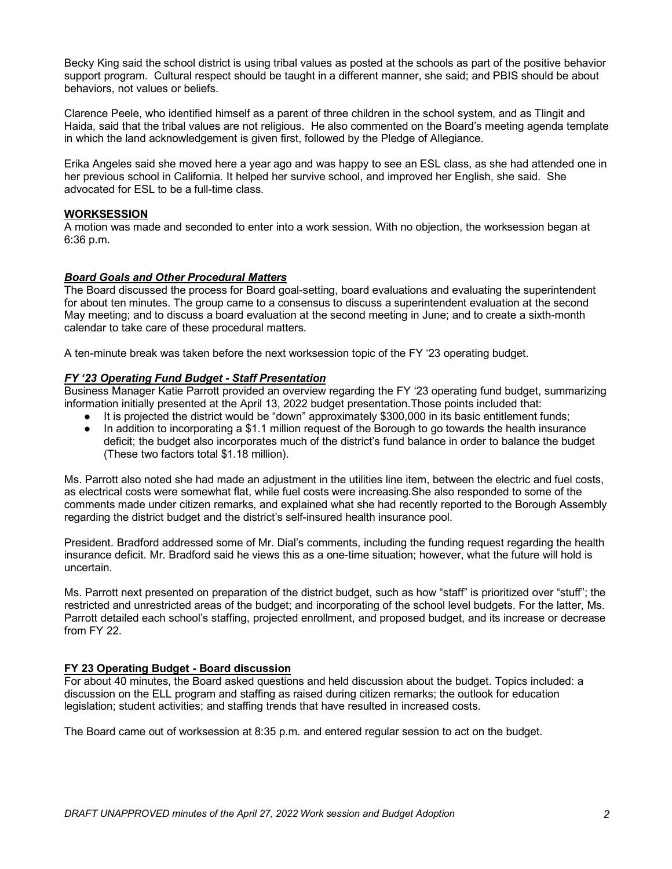Becky King said the school district is using tribal values as posted at the schools as part of the positive behavior support program. Cultural respect should be taught in a different manner, she said; and PBIS should be about behaviors, not values or beliefs.

Clarence Peele, who identified himself as a parent of three children in the school system, and as Tlingit and Haida, said that the tribal values are not religious. He also commented on the Board's meeting agenda template in which the land acknowledgement is given first, followed by the Pledge of Allegiance.

Erika Angeles said she moved here a year ago and was happy to see an ESL class, as she had attended one in her previous school in California. It helped her survive school, and improved her English, she said. She advocated for ESL to be a full-time class.

## **WORKSESSION**

A motion was made and seconded to enter into a work session. With no objection, the worksession began at 6:36 p.m.

## *Board Goals and Other Procedural Matters*

The Board discussed the process for Board goal-setting, board evaluations and evaluating the superintendent for about ten minutes. The group came to a consensus to discuss a superintendent evaluation at the second May meeting; and to discuss a board evaluation at the second meeting in June; and to create a sixth-month calendar to take care of these procedural matters.

A ten-minute break was taken before the next worksession topic of the FY '23 operating budget.

#### *FY '23 Operating Fund Budget - Staff Presentation*

Business Manager Katie Parrott provided an overview regarding the FY '23 operating fund budget, summarizing information initially presented at the April 13, 2022 budget presentation.Those points included that:

- It is projected the district would be "down" approximately \$300,000 in its basic entitlement funds;
- In addition to incorporating a \$1.1 million request of the Borough to go towards the health insurance deficit; the budget also incorporates much of the district's fund balance in order to balance the budget (These two factors total \$1.18 million).

Ms. Parrott also noted she had made an adjustment in the utilities line item, between the electric and fuel costs, as electrical costs were somewhat flat, while fuel costs were increasing.She also responded to some of the comments made under citizen remarks, and explained what she had recently reported to the Borough Assembly regarding the district budget and the district's self-insured health insurance pool.

President. Bradford addressed some of Mr. Dial's comments, including the funding request regarding the health insurance deficit. Mr. Bradford said he views this as a one-time situation; however, what the future will hold is uncertain.

Ms. Parrott next presented on preparation of the district budget, such as how "staff" is prioritized over "stuff"; the restricted and unrestricted areas of the budget; and incorporating of the school level budgets. For the latter, Ms. Parrott detailed each school's staffing, projected enrollment, and proposed budget, and its increase or decrease from FY 22.

#### **FY 23 Operating Budget - Board discussion**

For about 40 minutes, the Board asked questions and held discussion about the budget. Topics included: a discussion on the ELL program and staffing as raised during citizen remarks; the outlook for education legislation; student activities; and staffing trends that have resulted in increased costs.

The Board came out of worksession at 8:35 p.m. and entered regular session to act on the budget.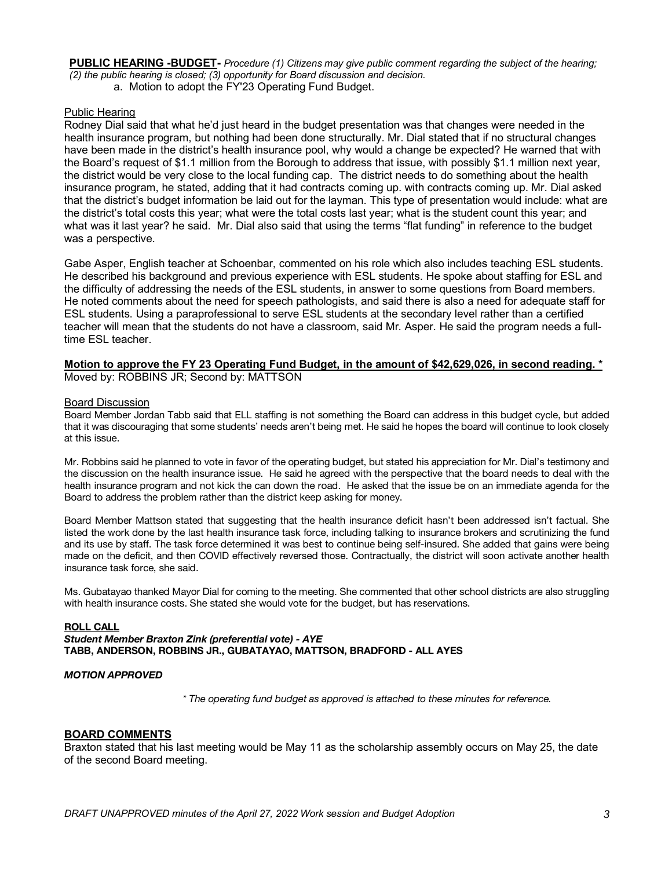**PUBLIC HEARING -BUDGET-** *Procedure (1) Citizens may give public comment regarding the subject of the hearing; (2) the public hearing is closed; (3) opportunity for Board discussion and decision.*

a. Motion to adopt the FY'23 Operating Fund Budget.

#### Public Hearing

Rodney Dial said that what he'd just heard in the budget presentation was that changes were needed in the health insurance program, but nothing had been done structurally. Mr. Dial stated that if no structural changes have been made in the district's health insurance pool, why would a change be expected? He warned that with the Board's request of \$1.1 million from the Borough to address that issue, with possibly \$1.1 million next year, the district would be very close to the local funding cap. The district needs to do something about the health insurance program, he stated, adding that it had contracts coming up. with contracts coming up. Mr. Dial asked that the district's budget information be laid out for the layman. This type of presentation would include: what are the district's total costs this year; what were the total costs last year; what is the student count this year; and what was it last year? he said. Mr. Dial also said that using the terms "flat funding" in reference to the budget was a perspective.

Gabe Asper, English teacher at Schoenbar, commented on his role which also includes teaching ESL students. He described his background and previous experience with ESL students. He spoke about staffing for ESL and the difficulty of addressing the needs of the ESL students, in answer to some questions from Board members. He noted comments about the need for speech pathologists, and said there is also a need for adequate staff for ESL students. Using a paraprofessional to serve ESL students at the secondary level rather than a certified teacher will mean that the students do not have a classroom, said Mr. Asper. He said the program needs a fulltime ESL teacher.

#### **Motion to approve the FY 23 Operating Fund Budget, in the amount of \$42,629,026, in second reading. \*** Moved by: ROBBINS JR; Second by: MATTSON

Board Discussion Board Member Jordan Tabb said that ELL staffing is not something the Board can address in this budget cycle, but added that it was discouraging that some students' needs aren't being met. He said he hopes the board will continue to look closely at this issue.

Mr. Robbins said he planned to vote in favor of the operating budget, but stated his appreciation for Mr. Dial's testimony and the discussion on the health insurance issue. He said he agreed with the perspective that the board needs to deal with the health insurance program and not kick the can down the road. He asked that the issue be on an immediate agenda for the Board to address the problem rather than the district keep asking for money.

Board Member Mattson stated that suggesting that the health insurance deficit hasn't been addressed isn't factual. She listed the work done by the last health insurance task force, including talking to insurance brokers and scrutinizing the fund and its use by staff. The task force determined it was best to continue being self-insured. She added that gains were being made on the deficit, and then COVID effectively reversed those. Contractually, the district will soon activate another health insurance task force, she said.

Ms. Gubatayao thanked Mayor Dial for coming to the meeting. She commented that other school districts are also struggling with health insurance costs. She stated she would vote for the budget, but has reservations.

#### **ROLL CALL** *Student Member Braxton Zink (preferential vote) - AYE* **TABB, ANDERSON, ROBBINS JR., GUBATAYAO, MATTSON, BRADFORD - ALL AYES**

#### *MOTION APPROVED*

*\* The operating fund budget as approved is attached to these minutes for reference.* 

#### **BOARD COMMENTS**

Braxton stated that his last meeting would be May 11 as the scholarship assembly occurs on May 25, the date of the second Board meeting.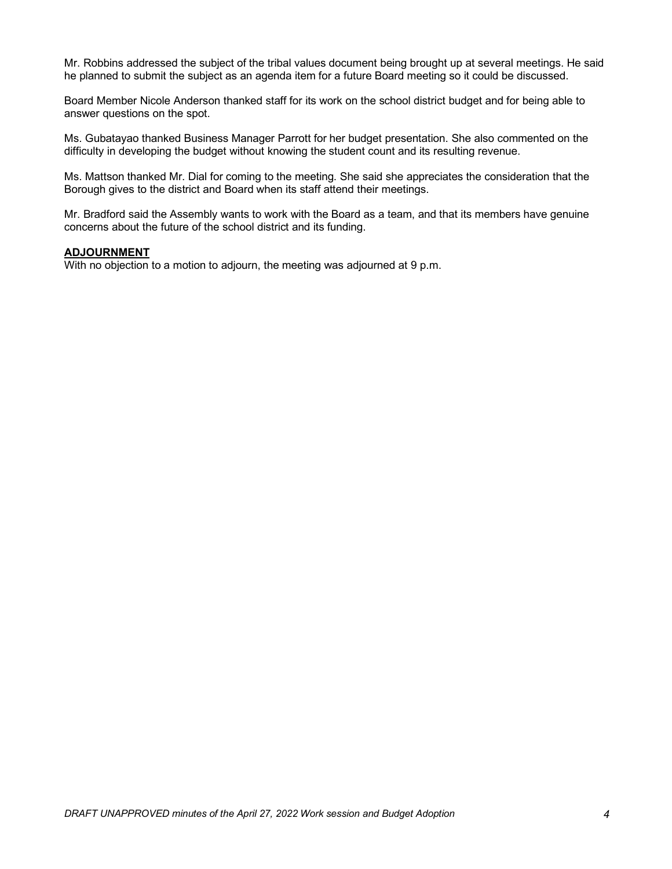Mr. Robbins addressed the subject of the tribal values document being brought up at several meetings. He said he planned to submit the subject as an agenda item for a future Board meeting so it could be discussed.

Board Member Nicole Anderson thanked staff for its work on the school district budget and for being able to answer questions on the spot.

Ms. Gubatayao thanked Business Manager Parrott for her budget presentation. She also commented on the difficulty in developing the budget without knowing the student count and its resulting revenue.

Ms. Mattson thanked Mr. Dial for coming to the meeting. She said she appreciates the consideration that the Borough gives to the district and Board when its staff attend their meetings.

Mr. Bradford said the Assembly wants to work with the Board as a team, and that its members have genuine concerns about the future of the school district and its funding.

#### **ADJOURNMENT**

With no objection to a motion to adjourn, the meeting was adjourned at 9 p.m.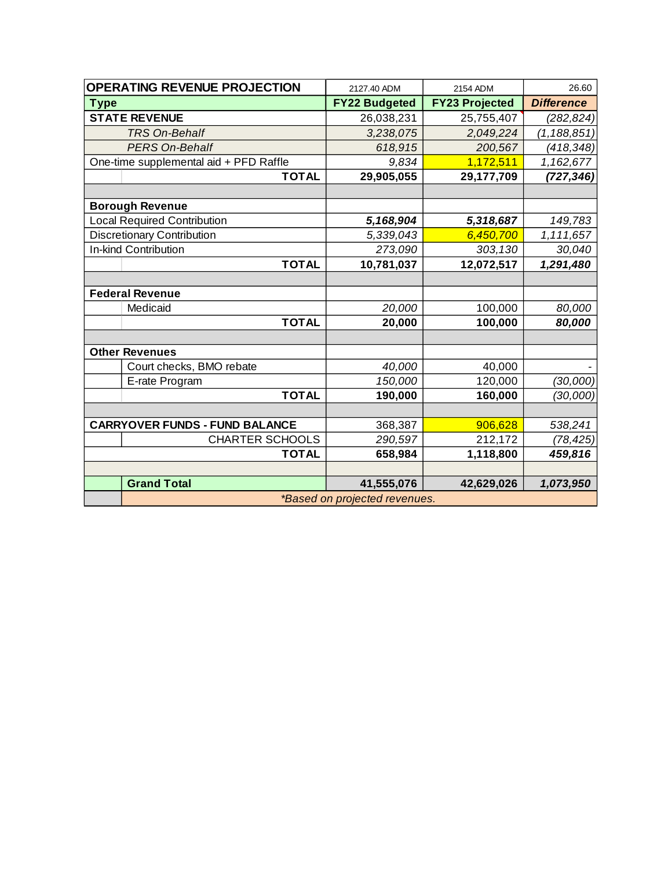| <b>OPERATING REVENUE PROJECTION</b>    | 2127.40 ADM                   | 2154 ADM              | 26.60             |  |  |  |  |
|----------------------------------------|-------------------------------|-----------------------|-------------------|--|--|--|--|
| <b>Type</b>                            | <b>FY22 Budgeted</b>          | <b>FY23 Projected</b> | <b>Difference</b> |  |  |  |  |
| <b>STATE REVENUE</b>                   | 26,038,231                    | 25,755,407            | (282, 824)        |  |  |  |  |
| <b>TRS On-Behalf</b>                   | 3,238,075                     | 2,049,224             | (1, 188, 851)     |  |  |  |  |
| <b>PERS On-Behalf</b>                  | 618,915                       | 200,567               | (418, 348)        |  |  |  |  |
| One-time supplemental aid + PFD Raffle | 9,834                         | 1,172,511             | 1,162,677         |  |  |  |  |
| <b>TOTAL</b>                           | 29,905,055                    | 29,177,709            | (727, 346)        |  |  |  |  |
|                                        |                               |                       |                   |  |  |  |  |
| <b>Borough Revenue</b>                 |                               |                       |                   |  |  |  |  |
| <b>Local Required Contribution</b>     | 5,168,904                     | 5,318,687             | 149,783           |  |  |  |  |
| <b>Discretionary Contribution</b>      | 5,339,043                     | 6,450,700             | 1,111,657         |  |  |  |  |
| In-kind Contribution                   | 273,090                       | 303,130               | 30,040            |  |  |  |  |
| <b>TOTAL</b>                           | 10,781,037                    | 12,072,517            | 1,291,480         |  |  |  |  |
|                                        |                               |                       |                   |  |  |  |  |
| <b>Federal Revenue</b>                 |                               |                       |                   |  |  |  |  |
| Medicaid                               | 20,000                        | 100,000               | 80,000            |  |  |  |  |
| <b>TOTAL</b>                           | 20,000                        | 100,000               | 80,000            |  |  |  |  |
|                                        |                               |                       |                   |  |  |  |  |
| <b>Other Revenues</b>                  |                               |                       |                   |  |  |  |  |
| Court checks, BMO rebate               | 40,000                        | 40,000                |                   |  |  |  |  |
| E-rate Program                         | 150,000                       | 120,000               | (30,000)          |  |  |  |  |
| <b>TOTAL</b>                           | 190,000                       | 160,000               | (30,000)          |  |  |  |  |
|                                        |                               |                       |                   |  |  |  |  |
| <b>CARRYOVER FUNDS - FUND BALANCE</b>  | 368,387                       | 906,628               | 538,241           |  |  |  |  |
| <b>CHARTER SCHOOLS</b>                 | 290,597                       | 212,172               | (78,425)          |  |  |  |  |
| <b>TOTAL</b>                           | 658,984                       | 1,118,800             | 459,816           |  |  |  |  |
|                                        |                               |                       |                   |  |  |  |  |
| <b>Grand Total</b>                     | 41,555,076                    | 42,629,026            | 1,073,950         |  |  |  |  |
|                                        | *Based on projected revenues. |                       |                   |  |  |  |  |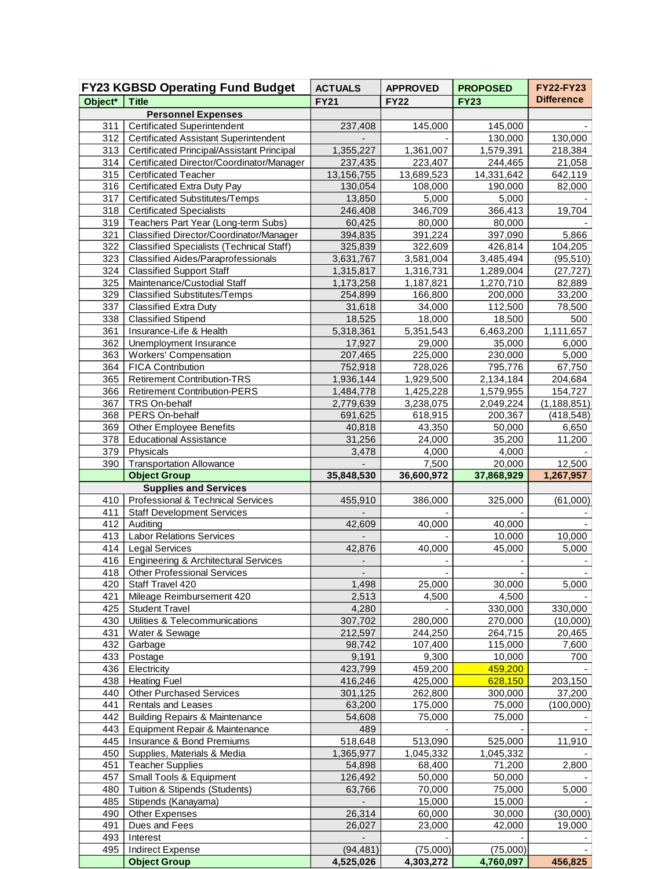|            | <b>FY23 KGBSD Operating Fund Budget</b>                              | <b>ACTUALS</b>    | <b>APPROVED</b>  | <b>PROPOSED</b>   | <b>FY22-FY23</b>  |
|------------|----------------------------------------------------------------------|-------------------|------------------|-------------------|-------------------|
| Object*    | <b>Title</b>                                                         | <b>FY21</b>       | <b>FY22</b>      | $\overline{FY23}$ | <b>Difference</b> |
|            | <b>Personnel Expenses</b>                                            |                   |                  |                   |                   |
| 311        | <b>Certificated Superintendent</b>                                   | 237,408           | 145,000          | 145,000           |                   |
| 312        | <b>Certificated Assistant Superintendent</b>                         |                   |                  | 130,000           | 130,000           |
| 313        | <b>Certificated Principal/Assistant Principal</b>                    | 1,355,227         | 1,361,007        | 1,579,391         | 218,384           |
| 314        | Certificated Director/Coordinator/Manager                            | 237,435           | 223,407          | 244,465           | 21,058            |
| 315        | <b>Certificated Teacher</b>                                          | 13,156,755        | 13,689,523       | 14,331,642        | 642,119           |
| 316<br>317 | Certificated Extra Duty Pay<br><b>Certificated Substitutes/Temps</b> | 130,054<br>13,850 | 108,000<br>5,000 | 190,000<br>5,000  | 82,000            |
| 318        | <b>Certificated Specialists</b>                                      | 246,408           | 346,709          | 366,413           | 19,704            |
| 319        | Teachers Part Year (Long-term Subs)                                  | 60,425            | 80,000           | 80,000            |                   |
| 321        | Classified Director/Coordinator/Manager                              | 394,835           | 391,224          | 397,090           | 5,866             |
| 322        | <b>Classified Specialists (Technical Staff)</b>                      | 325,839           | 322,609          | 426,814           | 104,205           |
| 323        | <b>Classified Aides/Paraprofessionals</b>                            | 3,631,767         | 3,581,004        | 3,485,494         | (95, 510)         |
| 324        | <b>Classified Support Staff</b>                                      | 1,315,817         | 1,316,731        | 1,289,004         | (27, 727)         |
| 325        | Maintenance/Custodial Staff                                          | 1,173,258         | 1,187,821        | 1,270,710         | 82,889            |
| 329        | <b>Classified Substitutes/Temps</b>                                  | 254,899           | 166,800          | 200,000           | 33,200            |
| 337        | <b>Classified Extra Duty</b>                                         | 31,618            | 34,000           | 112,500           | 78,500            |
| 338        | <b>Classified Stipend</b>                                            | 18,525            | 18,000           | 18,500            | 500               |
| 361        | Insurance-Life & Health                                              | 5,318,361         | 5,351,543        | 6,463,200         | 1,111,657         |
| 362        | Unemployment Insurance                                               | 17,927            | 29,000           | 35,000            | 6,000             |
| 363        | <b>Workers' Compensation</b>                                         | 207,465           | 225,000          | 230,000           | 5,000             |
| 364        | <b>FICA Contribution</b>                                             | 752,918           | 728,026          | 795,776           | 67,750            |
| 365        | <b>Retirement Contribution-TRS</b>                                   | 1,936,144         | 1,929,500        | 2,134,184         | 204,684           |
| 366        | <b>Retirement Contribution-PERS</b>                                  | 1,484,778         | 1,425,228        | 1,579,955         | 154,727           |
| 367        | TRS On-behalf                                                        | 2,779,639         | 3,238,075        | 2,049,224         | (1, 188, 851)     |
| 368        | PERS On-behalf                                                       | 691,625           | 618,915          | 200,367           | (418, 548)        |
| 369        | Other Employee Benefits                                              | 40,818            | 43,350           | 50,000            | 6,650             |
| 378        | <b>Educational Assistance</b>                                        | 31,256            | 24,000           | 35,200            | 11,200            |
| 379<br>390 | Physicals<br><b>Transportation Allowance</b>                         | 3,478             | 4,000<br>7,500   | 4,000<br>20,000   | 12,500            |
|            | <b>Object Group</b>                                                  | 35,848,530        | 36,600,972       | 37,868,929        | 1,267,957         |
|            | <b>Supplies and Services</b>                                         |                   |                  |                   |                   |
| 410        | Professional & Technical Services                                    | 455,910           | 386,000          | 325,000           | (61,000)          |
| 411        | <b>Staff Development Services</b>                                    |                   |                  |                   |                   |
| 412        | Auditing                                                             | 42,609            | 40,000           | 40,000            |                   |
| 413        | <b>Labor Relations Services</b>                                      | $\mathbf{r}$      |                  | 10,000            | 10,000            |
| 414        | <b>Legal Services</b>                                                | 42,876            | 40,000           | 45,000            | 5,000             |
| 416        | <b>Engineering &amp; Architectural Services</b>                      |                   |                  |                   |                   |
|            | 418   Other Professional Services                                    |                   |                  |                   |                   |
| 420        | Staff Travel 420                                                     | 1,498             | 25,000           | 30,000            | 5,000             |
| 421        | Mileage Reimbursement 420                                            | 2,513             | 4,500            | 4,500             |                   |
| 425        | <b>Student Travel</b>                                                | 4,280             |                  | 330,000           | 330,000           |
| 430        | Utilities & Telecommunications                                       | 307,702           | 280,000          | 270,000           | (10,000)          |
| 431        | Water & Sewage                                                       | 212,597           | 244,250          | 264,715           | 20,465            |
| 432        | Garbage                                                              | 98,742            | 107,400          | 115,000           | 7,600             |
| 433        | Postage                                                              | 9,191<br>423,799  | 9,300<br>459,200 | 10,000<br>459,200 | 700               |
| 436<br>438 | Electricity<br><b>Heating Fuel</b>                                   | 416,246           | 425,000          | 628,150           | 203,150           |
| 440        | <b>Other Purchased Services</b>                                      | 301,125           | 262,800          | 300,000           | 37,200            |
| 441        | Rentals and Leases                                                   | 63,200            | 175,000          | 75,000            | (100,000)         |
| 442        | <b>Building Repairs &amp; Maintenance</b>                            | 54,608            | 75,000           | 75,000            |                   |
| 443        | Equipment Repair & Maintenance                                       | 489               |                  |                   |                   |
| 445        | Insurance & Bond Premiums                                            | 518,648           | 513,090          | 525,000           | 11,910            |
| 450        | Supplies, Materials & Media                                          | 1,365,977         | 1,045,332        | 1,045,332         |                   |
| 451        | <b>Teacher Supplies</b>                                              | 54,898            | 68,400           | 71,200            | 2,800             |
| 457        | Small Tools & Equipment                                              | 126,492           | 50,000           | 50,000            |                   |
| 480        | Tuition & Stipends (Students)                                        | 63,766            | 70,000           | 75,000            | 5,000             |
| 485        | Stipends (Kanayama)                                                  |                   | 15,000           | 15,000            |                   |
| 490        | Other Expenses                                                       | 26,314            | 60,000           | 30,000            | (30,000)          |
| 491        | Dues and Fees                                                        | 26,027            | 23,000           | 42,000            | 19,000            |
| 493        | Interest                                                             |                   |                  |                   |                   |
| 495        | <b>Indirect Expense</b>                                              | (94, 481)         | (75,000)         | (75,000)          |                   |
|            | <b>Object Group</b>                                                  | 4,525,026         | 4,303,272        | 4,760,097         | 456,825           |